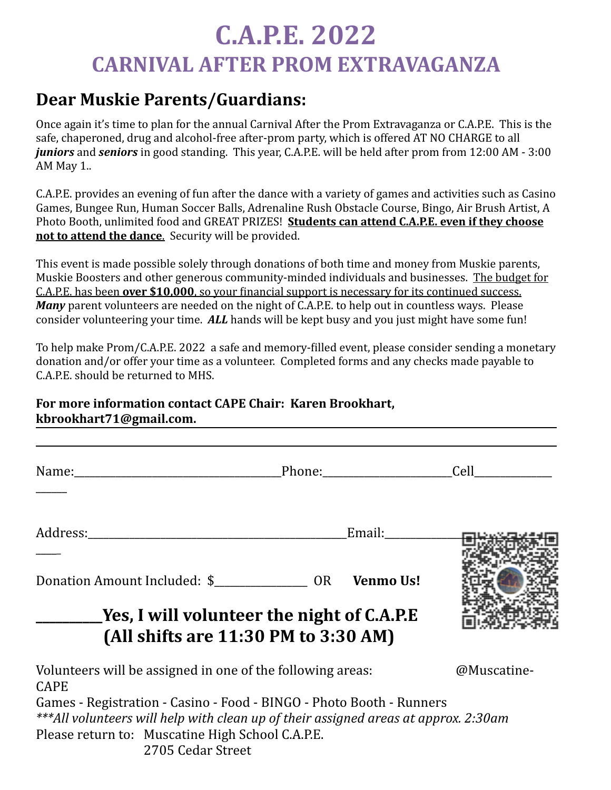## **C.A.P.E. 2022 CARNIVAL AFTER PROM EXTRAVAGANZA**

## **Dear Muskie Parents/Guardians:**

Once again it's time to plan for the annual Carnival After the Prom Extravaganza or C.A.P.E. This is the safe, chaperoned, drug and alcohol-free after-prom party, which is offered AT NO CHARGE to all *juniors* and *seniors* in good standing. This year, C.A.P.E. will be held after prom from 12:00 AM - 3:00 AM May 1..

C.A.P.E. provides an evening of fun after the dance with a variety of games and activities such as Casino Games, Bungee Run, Human Soccer Balls, Adrenaline Rush Obstacle Course, Bingo, Air Brush Artist, A Photo Booth, unlimited food and GREAT PRIZES! Students can attend C.A.P.E. even if they choose **not to attend the dance**. Security will be provided.

This event is made possible solely through donations of both time and money from Muskie parents, Muskie Boosters and other generous community-minded individuals and businesses. The budget for C.A.P.E. has been **over \$10,000**, so your financial support is necessary for its continued success. *Many* parent volunteers are needed on the night of C.A.P.E. to help out in countless ways. Please consider volunteering your time. **ALL** hands will be kept busy and you just might have some fun!

To help make Prom/C.A.P.E. 2022 a safe and memory-filled event, please consider sending a monetary donation and/or offer your time as a volunteer. Completed forms and any checks made payable to C.A.P.E. should be returned to MHS.

## For more information contact CAPE Chair: Karen Brookhart, **kbrookhart71@gmail.com.**

| Donation Amount Included: \$ OR Venmo Us!                                           |                                                                                    |  |             |
|-------------------------------------------------------------------------------------|------------------------------------------------------------------------------------|--|-------------|
|                                                                                     | Yes, I will volunteer the night of C.A.P.E<br>(All shifts are 11:30 PM to 3:30 AM) |  |             |
| Volunteers will be assigned in one of the following areas:<br><b>CAPE</b>           |                                                                                    |  | @Muscatine- |
| Games - Registration - Casino - Food - BINGO - Photo Booth - Runners                |                                                                                    |  |             |
| ***All volunteers will help with clean up of their assigned areas at approx. 2:30am |                                                                                    |  |             |
| Please return to: Muscatine High School C.A.P.E.                                    |                                                                                    |  |             |
| 2705 Cedar Street                                                                   |                                                                                    |  |             |